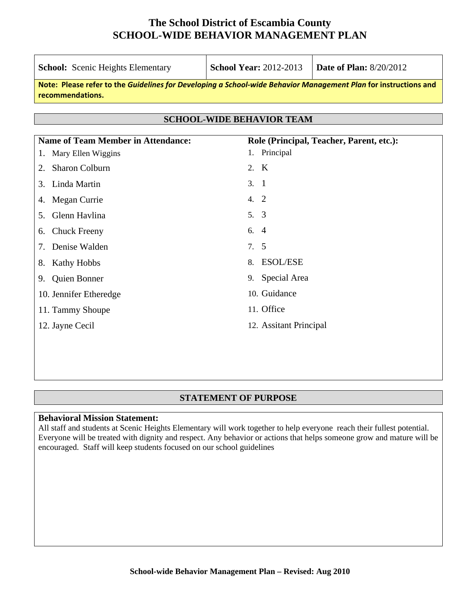| <b>School:</b> Scenic Heights Elementary                                                                                            | <b>School Year: 2012-2013</b>            | <b>Date of Plan: 8/20/2012</b> |  |  |  |  |  |
|-------------------------------------------------------------------------------------------------------------------------------------|------------------------------------------|--------------------------------|--|--|--|--|--|
| Note: Please refer to the Guidelines for Developing a School-wide Behavior Management Plan for instructions and<br>recommendations. |                                          |                                |  |  |  |  |  |
| <b>SCHOOL-WIDE BEHAVIOR TEAM</b>                                                                                                    |                                          |                                |  |  |  |  |  |
| <b>Name of Team Member in Attendance:</b>                                                                                           | Role (Principal, Teacher, Parent, etc.): |                                |  |  |  |  |  |
| Mary Ellen Wiggins<br>$\mathbf{1}$ .                                                                                                | Principal<br>1.                          |                                |  |  |  |  |  |
| <b>Sharon Colburn</b><br>2.                                                                                                         | 2. K                                     |                                |  |  |  |  |  |
| Linda Martin<br>$\mathcal{E}$                                                                                                       | 3.1                                      |                                |  |  |  |  |  |
| Megan Currie<br>4.                                                                                                                  | 4. 2                                     |                                |  |  |  |  |  |
| Glenn Havlina<br>5.                                                                                                                 | 5. 3                                     |                                |  |  |  |  |  |
| <b>Chuck Freeny</b><br>6.                                                                                                           | 6. $4$                                   |                                |  |  |  |  |  |
| Denise Walden                                                                                                                       | 7.5                                      |                                |  |  |  |  |  |
| 8.<br>Kathy Hobbs                                                                                                                   | <b>ESOL/ESE</b><br>8.                    |                                |  |  |  |  |  |
| <b>Quien Bonner</b><br>9.                                                                                                           | Special Area<br>9.                       |                                |  |  |  |  |  |

### **STATEMENT OF PURPOSE**

10. Guidance

12. Assitant Principal

11. Office

#### **Behavioral Mission Statement:**

10. Jennifer Etheredge

11. Tammy Shoupe

12. Jayne Cecil

All staff and students at Scenic Heights Elementary will work together to help everyone reach their fullest potential. Everyone will be treated with dignity and respect. Any behavior or actions that helps someone grow and mature will be encouraged. Staff will keep students focused on our school guidelines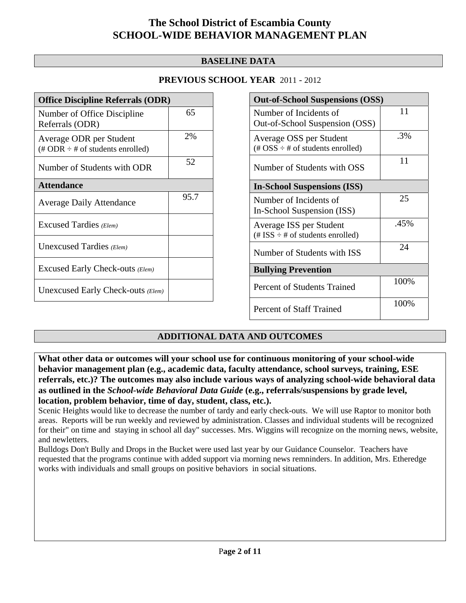### **BASELINE DATA**

### **PREVIOUS SCHOOL YEAR** 2011 - 2012

| <b>Office Discipline Referrals (ODR)</b>                                         |      |  |  |  |
|----------------------------------------------------------------------------------|------|--|--|--|
| Number of Office Discipline<br>Referrals (ODR)                                   | 65   |  |  |  |
| Average ODR per Student<br>$(\text{\# ODR} \div \text{\# of students enrolled})$ | 2%   |  |  |  |
| Number of Students with ODR                                                      | 52   |  |  |  |
| <b>Attendance</b>                                                                |      |  |  |  |
| <b>Average Daily Attendance</b>                                                  | 95.7 |  |  |  |
| Excused Tardies (Elem)                                                           |      |  |  |  |
| Unexcused Tardies (Elem)                                                         |      |  |  |  |
| Excused Early Check-outs (Elem)                                                  |      |  |  |  |
| Unexcused Early Check-outs (Elem)                                                |      |  |  |  |

| <b>Out-of-School Suspensions (OSS)</b>                                                          |      |  |  |  |
|-------------------------------------------------------------------------------------------------|------|--|--|--|
| Number of Incidents of<br>Out-of-School Suspension (OSS)                                        | 11   |  |  |  |
| Average OSS per Student<br>$(\text{\#} \text{OSS} \div \text{\#} \text{ of students enrolled})$ | .3%  |  |  |  |
| Number of Students with OSS                                                                     | 11   |  |  |  |
| <b>In-School Suspensions (ISS)</b>                                                              |      |  |  |  |
| Number of Incidents of<br>In-School Suspension (ISS)                                            | 25   |  |  |  |
| Average ISS per Student<br>$(\# ISS \div \# of students enrolled)$                              | .45% |  |  |  |
| Number of Students with ISS                                                                     | 24   |  |  |  |
| <b>Bullying Prevention</b>                                                                      |      |  |  |  |
| <b>Percent of Students Trained</b>                                                              | 100% |  |  |  |
| Percent of Staff Trained                                                                        | 100% |  |  |  |

### **ADDITIONAL DATA AND OUTCOMES**

**What other data or outcomes will your school use for continuous monitoring of your school-wide behavior management plan (e.g., academic data, faculty attendance, school surveys, training, ESE referrals, etc.)? The outcomes may also include various ways of analyzing school-wide behavioral data as outlined in the** *School-wide Behavioral Data Guide* **(e.g., referrals/suspensions by grade level, location, problem behavior, time of day, student, class, etc.).**

Scenic Heights would like to decrease the number of tardy and early check-outs. We will use Raptor to monitor both areas. Reports will be run weekly and reviewed by administration. Classes and individual students will be recognized for their" on time and staying in school all day" successes. Mrs. Wiggins will recognize on the morning news, website, and newletters.

Bulldogs Don't Bully and Drops in the Bucket were used last year by our Guidance Counselor. Teachers have requested that the programs continue with added support via morning news remninders. In addition, Mrs. Etheredge works with individuals and small groups on positive behaviors in social situations.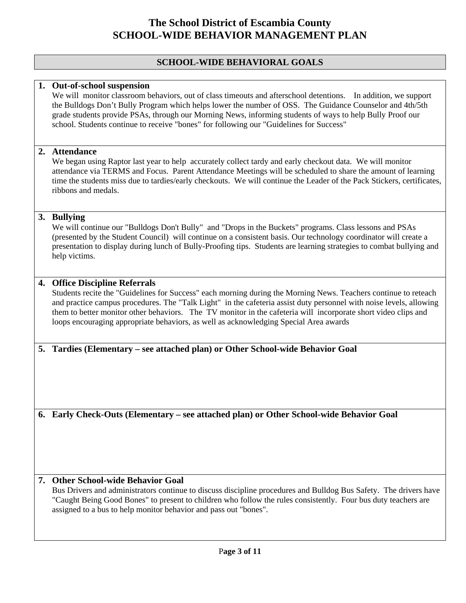#### **SCHOOL-WIDE BEHAVIORAL GOALS**

#### **1. Out-of-school suspension**

We will monitor classroom behaviors, out of class timeouts and afterschool detentions. In addition, we support the Bulldogs Don't Bully Program which helps lower the number of OSS. The Guidance Counselor and 4th/5th grade students provide PSAs, through our Morning News, informing students of ways to help Bully Proof our school. Students continue to receive "bones" for following our "Guidelines for Success"

#### **2. Attendance**

We began using Raptor last year to help accurately collect tardy and early checkout data. We will monitor attendance via TERMS and Focus. Parent Attendance Meetings will be scheduled to share the amount of learning time the students miss due to tardies/early checkouts. We will continue the Leader of the Pack Stickers, certificates, ribbons and medals.

#### **3. Bullying**

We will continue our "Bulldogs Don't Bully" and "Drops in the Buckets" programs. Class lessons and PSAs (presented by the Student Council) will continue on a consistent basis. Our technology coordinator will create a presentation to display during lunch of Bully-Proofing tips. Students are learning strategies to combat bullying and help victims.

#### **4. Office Discipline Referrals**

Students recite the "Guidelines for Success" each morning during the Morning News. Teachers continue to reteach and practice campus procedures. The "Talk Light" in the cafeteria assist duty personnel with noise levels, allowing them to better monitor other behaviors. The TV monitor in the cafeteria will incorporate short video clips and loops encouraging appropriate behaviors, as well as acknowledging Special Area awards

#### **5. Tardies (Elementary – see attached plan) or Other School-wide Behavior Goal**

**6. Early Check-Outs (Elementary – see attached plan) or Other School-wide Behavior Goal** 

#### **7. Other School-wide Behavior Goal**

Bus Drivers and administrators continue to discuss discipline procedures and Bulldog Bus Safety. The drivers have "Caught Being Good Bones" to present to children who follow the rules consistently. Four bus duty teachers are assigned to a bus to help monitor behavior and pass out "bones".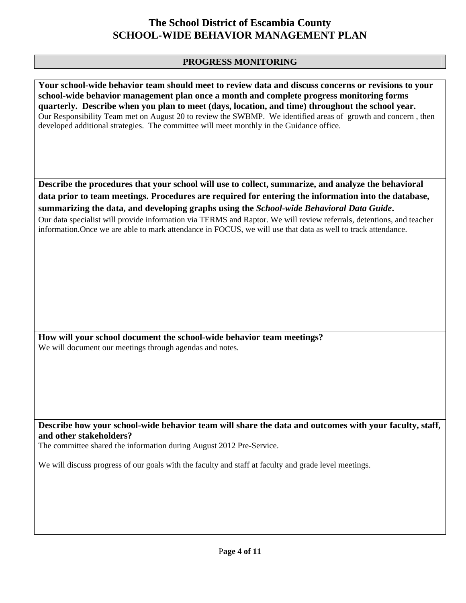### **PROGRESS MONITORING**

**Your school-wide behavior team should meet to review data and discuss concerns or revisions to your school-wide behavior management plan once a month and complete progress monitoring forms quarterly. Describe when you plan to meet (days, location, and time) throughout the school year.**  Our Responsibility Team met on August 20 to review the SWBMP. We identified areas of growth and concern , then developed additional strategies. The committee will meet monthly in the Guidance office.

**Describe the procedures that your school will use to collect, summarize, and analyze the behavioral data prior to team meetings. Procedures are required for entering the information into the database, summarizing the data, and developing graphs using the** *School-wide Behavioral Data Guide***.** 

Our data specialist will provide information via TERMS and Raptor. We will review referrals, detentions, and teacher information.Once we are able to mark attendance in FOCUS, we will use that data as well to track attendance.

**How will your school document the school-wide behavior team meetings?** We will document our meetings through agendas and notes.

**Describe how your school-wide behavior team will share the data and outcomes with your faculty, staff, and other stakeholders?** 

The committee shared the information during August 2012 Pre-Service.

We will discuss progress of our goals with the faculty and staff at faculty and grade level meetings.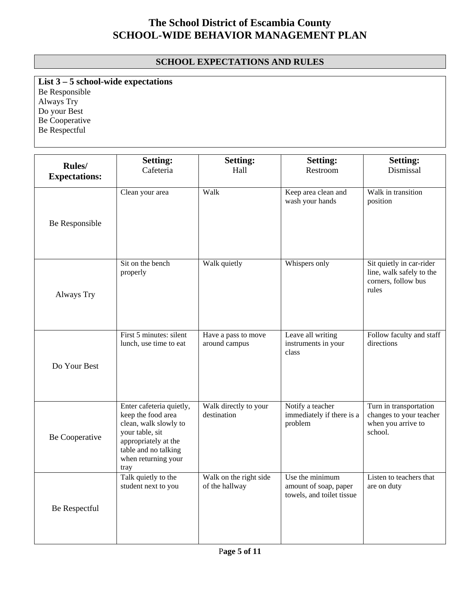### **SCHOOL EXPECTATIONS AND RULES**

**List 3 – 5 school-wide expectations** Be Responsible Always Try Do your Best Be Cooperative Be Respectful

| Rules/<br><b>Expectations:</b> | <b>Setting:</b><br>Cafeteria                                                                                                                                              | <b>Setting:</b><br>Hall                  | <b>Setting:</b><br>Restroom                                           | <b>Setting:</b><br>Dismissal                                                         |
|--------------------------------|---------------------------------------------------------------------------------------------------------------------------------------------------------------------------|------------------------------------------|-----------------------------------------------------------------------|--------------------------------------------------------------------------------------|
| Be Responsible                 | Clean your area                                                                                                                                                           | Walk                                     | Keep area clean and<br>wash your hands                                | Walk in transition<br>position                                                       |
| Always Try                     | Sit on the bench<br>properly                                                                                                                                              | Walk quietly                             | Whispers only                                                         | Sit quietly in car-rider<br>line, walk safely to the<br>corners, follow bus<br>rules |
| Do Your Best                   | First 5 minutes: silent<br>lunch, use time to eat                                                                                                                         | Have a pass to move<br>around campus     | Leave all writing<br>instruments in your<br>class                     | Follow faculty and staff<br>directions                                               |
| Be Cooperative                 | Enter cafeteria quietly,<br>keep the food area<br>clean, walk slowly to<br>your table, sit<br>appropriately at the<br>table and no talking<br>when returning your<br>tray | Walk directly to your<br>destination     | Notify a teacher<br>immediately if there is a<br>problem              | Turn in transportation<br>changes to your teacher<br>when you arrive to<br>school.   |
| Be Respectful                  | Talk quietly to the<br>student next to you                                                                                                                                | Walk on the right side<br>of the hallway | Use the minimum<br>amount of soap, paper<br>towels, and toilet tissue | Listen to teachers that<br>are on duty                                               |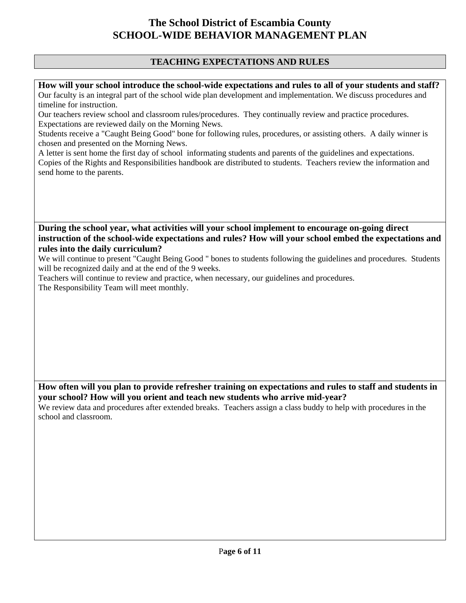### **TEACHING EXPECTATIONS AND RULES**

**How will your school introduce the school-wide expectations and rules to all of your students and staff?**  Our faculty is an integral part of the school wide plan development and implementation. We discuss procedures and timeline for instruction.

Our teachers review school and classroom rules/procedures. They continually review and practice procedures. Expectations are reviewed daily on the Morning News.

Students receive a "Caught Being Good" bone for following rules, procedures, or assisting others. A daily winner is chosen and presented on the Morning News.

A letter is sent home the first day of school informating students and parents of the guidelines and expectations. Copies of the Rights and Responsibilities handbook are distributed to students. Teachers review the information and send home to the parents.

**During the school year, what activities will your school implement to encourage on-going direct instruction of the school-wide expectations and rules? How will your school embed the expectations and rules into the daily curriculum?** 

We will continue to present "Caught Being Good " bones to students following the guidelines and procedures. Students will be recognized daily and at the end of the 9 weeks.

Teachers will continue to review and practice, when necessary, our guidelines and procedures. The Responsibility Team will meet monthly.

**How often will you plan to provide refresher training on expectations and rules to staff and students in your school? How will you orient and teach new students who arrive mid-year?** 

We review data and procedures after extended breaks. Teachers assign a class buddy to help with procedures in the school and classroom.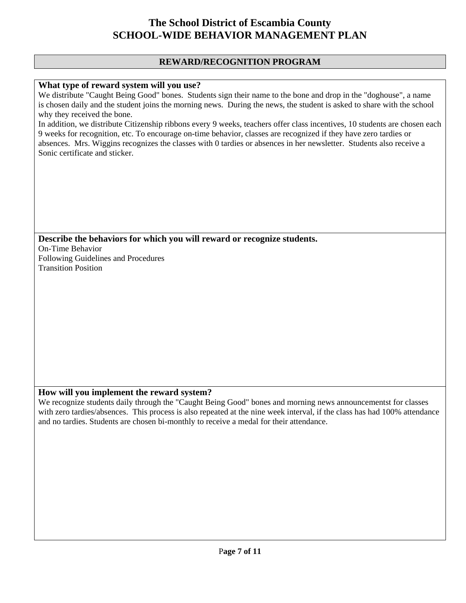#### **REWARD/RECOGNITION PROGRAM**

#### **What type of reward system will you use?**

We distribute "Caught Being Good" bones. Students sign their name to the bone and drop in the "doghouse", a name is chosen daily and the student joins the morning news. During the news, the student is asked to share with the school why they received the bone.

In addition, we distribute Citizenship ribbons every 9 weeks, teachers offer class incentives, 10 students are chosen each 9 weeks for recognition, etc. To encourage on-time behavior, classes are recognized if they have zero tardies or absences. Mrs. Wiggins recognizes the classes with 0 tardies or absences in her newsletter. Students also receive a Sonic certificate and sticker.

**Describe the behaviors for which you will reward or recognize students.**  On-Time Behavior Following Guidelines and Procedures Transition Position

#### **How will you implement the reward system?**

We recognize students daily through the "Caught Being Good" bones and morning news announcementst for classes with zero tardies/absences. This process is also repeated at the nine week interval, if the class has had 100% attendance and no tardies. Students are chosen bi-monthly to receive a medal for their attendance.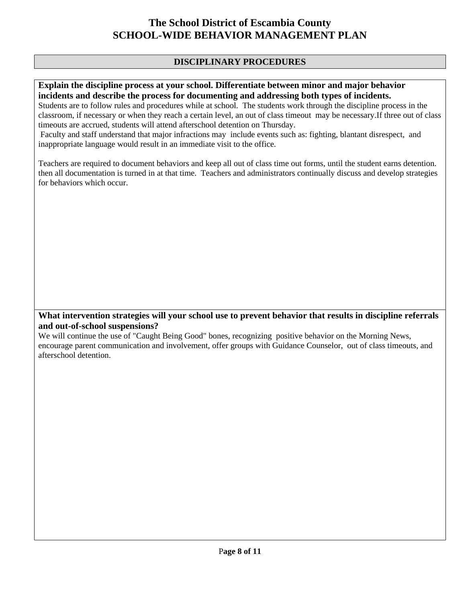### **DISCIPLINARY PROCEDURES**

#### **Explain the discipline process at your school. Differentiate between minor and major behavior incidents and describe the process for documenting and addressing both types of incidents.**

Students are to follow rules and procedures while at school. The students work through the discipline process in the classroom, if necessary or when they reach a certain level, an out of class timeout may be necessary.If three out of class timeouts are accrued, students will attend afterschool detention on Thursday.

 Faculty and staff understand that major infractions may include events such as: fighting, blantant disrespect, and inappropriate language would result in an immediate visit to the office.

Teachers are required to document behaviors and keep all out of class time out forms, until the student earns detention. then all documentation is turned in at that time. Teachers and administrators continually discuss and develop strategies for behaviors which occur.

### **What intervention strategies will your school use to prevent behavior that results in discipline referrals and out-of-school suspensions?**

We will continue the use of "Caught Being Good" bones, recognizing positive behavior on the Morning News, encourage parent communication and involvement, offer groups with Guidance Counselor, out of class timeouts, and afterschool detention.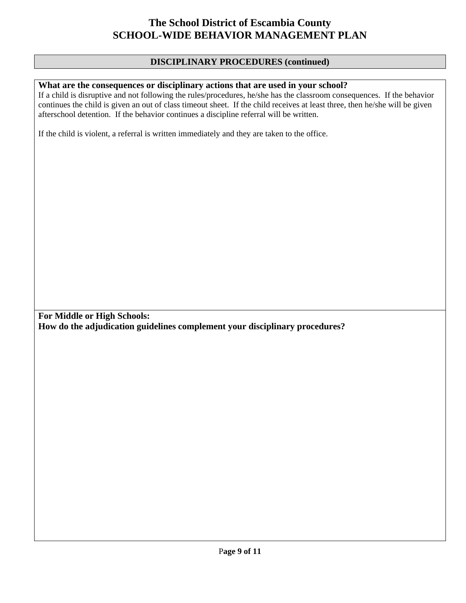#### **DISCIPLINARY PROCEDURES (continued)**

#### **What are the consequences or disciplinary actions that are used in your school?**

If a child is disruptive and not following the rules/procedures, he/she has the classroom consequences. If the behavior continues the child is given an out of class timeout sheet. If the child receives at least three, then he/she will be given afterschool detention. If the behavior continues a discipline referral will be written.

If the child is violent, a referral is written immediately and they are taken to the office.

**For Middle or High Schools: How do the adjudication guidelines complement your disciplinary procedures?**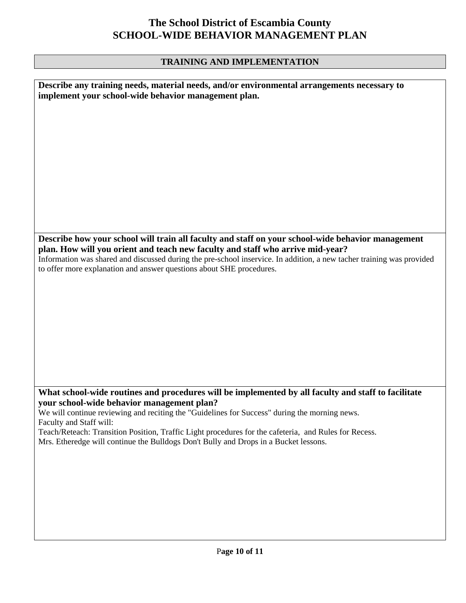## **TRAINING AND IMPLEMENTATION**

| Describe any training needs, material needs, and/or environmental arrangements necessary to<br>implement your school-wide behavior management plan. |
|-----------------------------------------------------------------------------------------------------------------------------------------------------|
|                                                                                                                                                     |
|                                                                                                                                                     |
|                                                                                                                                                     |
|                                                                                                                                                     |
|                                                                                                                                                     |
|                                                                                                                                                     |
|                                                                                                                                                     |
|                                                                                                                                                     |
|                                                                                                                                                     |
|                                                                                                                                                     |
|                                                                                                                                                     |
|                                                                                                                                                     |
| Describe how your school will train all faculty and staff on your school-wide behavior management                                                   |
| plan. How will you orient and teach new faculty and staff who arrive mid-year?                                                                      |
| Information was shared and discussed during the pre-school inservice. In addition, a new tacher training was provided                               |
| to offer more explanation and answer questions about SHE procedures.                                                                                |
|                                                                                                                                                     |
|                                                                                                                                                     |
|                                                                                                                                                     |
|                                                                                                                                                     |
|                                                                                                                                                     |
|                                                                                                                                                     |
|                                                                                                                                                     |
|                                                                                                                                                     |
|                                                                                                                                                     |
|                                                                                                                                                     |
|                                                                                                                                                     |
| What school-wide routines and procedures will be implemented by all faculty and staff to facilitate                                                 |
| your school-wide behavior management plan?                                                                                                          |
| We will continue reviewing and reciting the "Guidelines for Success" during the morning news.                                                       |
| Faculty and Staff will:                                                                                                                             |
| Teach/Reteach: Transition Position, Traffic Light procedures for the cafeteria, and Rules for Recess.                                               |
| Mrs. Etheredge will continue the Bulldogs Don't Bully and Drops in a Bucket lessons.                                                                |
|                                                                                                                                                     |
|                                                                                                                                                     |
|                                                                                                                                                     |
|                                                                                                                                                     |
|                                                                                                                                                     |
|                                                                                                                                                     |
|                                                                                                                                                     |
|                                                                                                                                                     |
|                                                                                                                                                     |